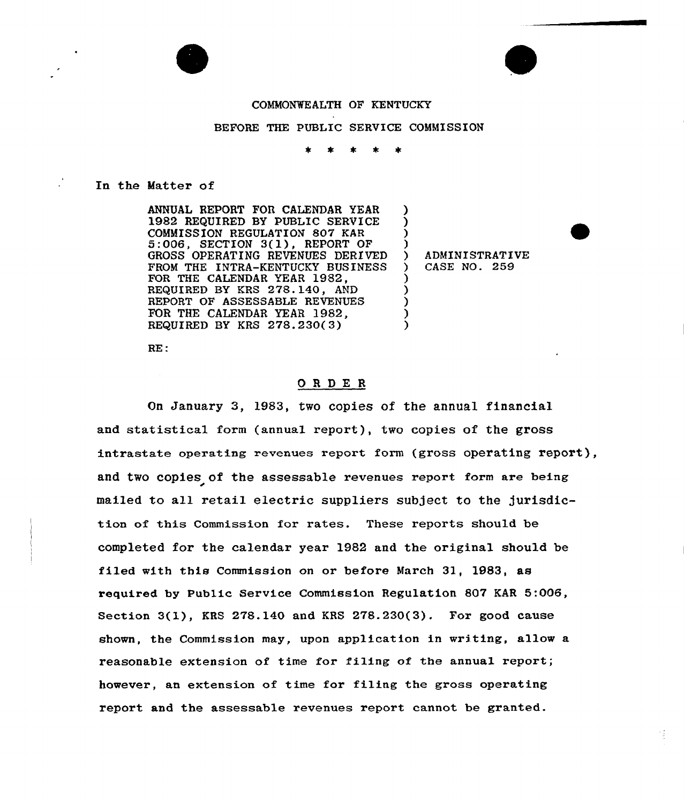

# BEFORE THE PUBLIC SERVICE COMMISSION

### In the Matter of

ANNUAL REPORT FOR CALENDAR YEAR 1982 REQUIRED BY PUBLIC SERVICE<br>COMMISSION REGULATION 807 KAR  $5:006$ , SECTION  $3(1)$ , REPORT OF GROSS OPERATING REVENUES DERIVED FROM THE INTRA-KENTUCKY BUSINESS FOR THE CALENDAR YEAR 1982, REQUIRED BY KRS 278.140, AND REPORT OF ASSESSABLE REVENUES FOR THE CALENDAR YEAR 1982, REQUIRED BY KRS 278.230(3) ) ) ) ) ) ) ) ) )

) ADMINISTRATIVE<br>) CASE NO. 259 ) CASE NO. 259

RE:

## ORDE <sup>R</sup>

On January 3, 1983, two copies of the annual financial and statistical form (annual report), two copies of the gross intrastate operating revenues report form (gross operating report), and two copies of the assessable revenues report form are being mailed to all retail electric suppliers subject to the jurisdiction of this Commission for rates. These reports should be completed for the calendar year 1982 and the original should be filed with this Commission on or before March 31, 1983, as required by Public Service Commission Regulation 807 KAR 5:006, Section 3(l}, KRS 278.140 and KRS 278.230(3). For good cause shown, the Commission may, upon application in writing, allow a reasonable extension of time for filing of the annual report; however, an extension of time for filing the gross operating report and the assessable revenues report cannot be granted.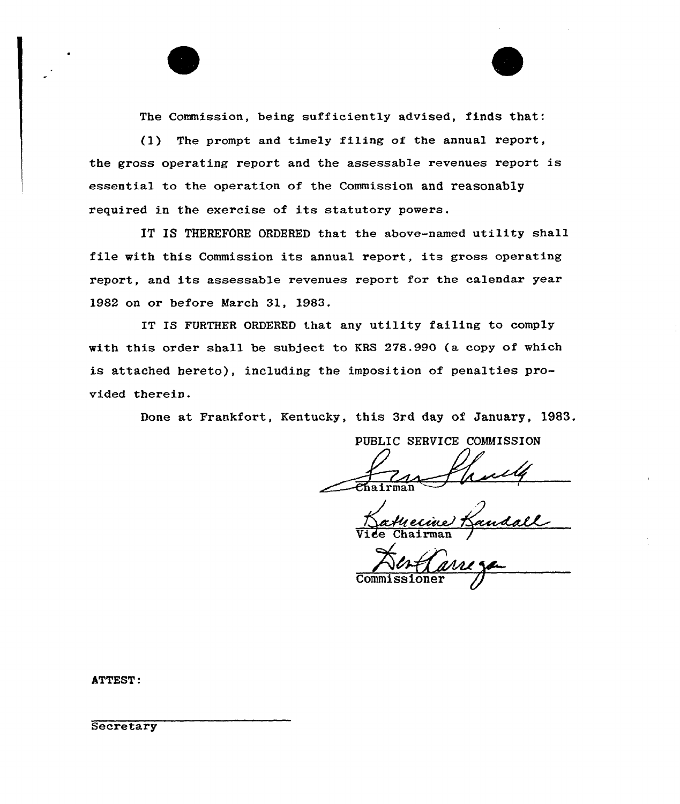The Commission, being sufficiently advised, finds that:

(1) The prompt and timely fi1ing of the annual report, the gross operating report and the assessable revenues report is essential to the operation of the Commission and reasonably required in the exercise of its statutory powers.

IT IS THEREFORE ORDERED that the above-named utility shall file with this Commission its annual report, its gross operating report, and its assessable revenues report for the calendar year 1982 on or before March 31, 1983.

IT IS FURTHER ORDERED that any utility failing to comply with this order shall be subject to KRS 278.990 (a copy of which is attached hereto), including the imposition of penalties provided therein.

Done at Frankfort, Kentucky, this 3rd day of January, 1983.

PUBLIC SERVICE COMMISSION

Vide Chairman /

**Commissione** 

ATTEST:

**Secretary**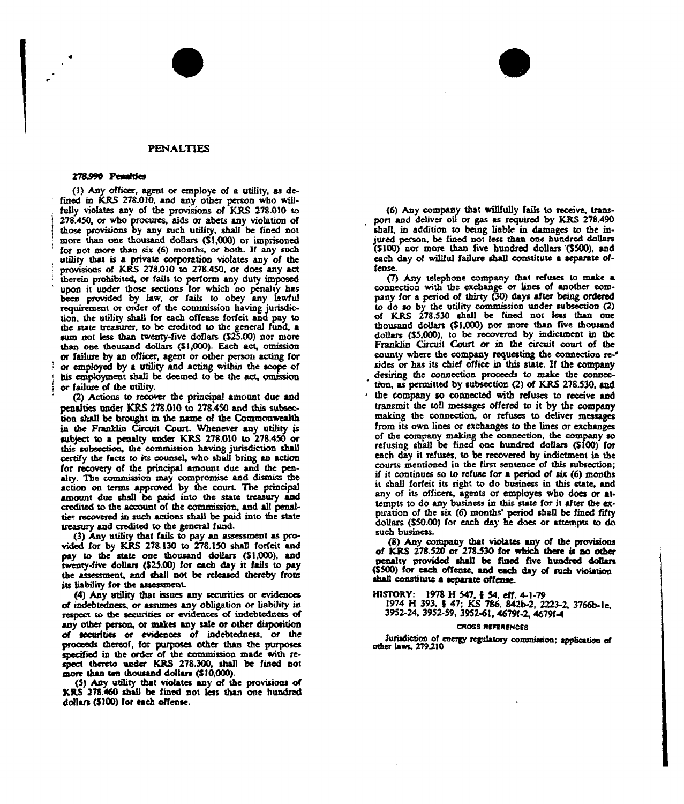#### **PENALTIES**

#### 278.990 Penalties

(1) Any officer, agent or employe of a utility, as defined in KRS 278.010, and any other person who willfully violates any of the provisions of KRS 278.010 to 278.450, or who procures, aids or abets any violation of those provisions by any such utility, shall be fined not more than one thousand dollars (\$1,000) or imprisoned for not more than six (6) months, or both. If any such utility that is a private corporation violates any of the provisions of KRS 278.010 to 278.450, or does any act therein prohibited, or fails to perform any duty imposed upon it under those sections for which no penalty has been provided by law, or fails to obey any lawful requirement or order of the commission having jurisdiction, the utility shall for each offense forfeit and pay to the state treasurer, to be credited to the general fund, a sum not less than twenty-five dollars (\$25.00) nor more than one thousand dollars (\$1,000). Each act, omission or failure by an officer, agent or other person acting for or employed by a utility and acting within the scope of his employment shall be deemed to be the act, omission or failure of the utility.

(2) Actions to recover the principal amount due and penalties under KRS 278.010 to 278.450 and this subsection shall be brought in the name of the Commonwealth in the Franklin Circuit Court. Whenever any utility is subject to a penalty under KRS 278.010 to 278.450 or this subsection, the commission having jurisdiction shall certify the facts to its counsel, who shall bring an action for recovery of the principal amount due and the penalty. The commission may compromise and dismiss the action on terms approved by the court. The principal amount due shall be paid into the state treasury and credited to the account of the commission, and all penalties recovered in such actions shall be paid into the state treasury and credited to the general fund.

(3) Any utility that fails to pay an assessment as provided for by KRS 278.130 to 278.150 shall forfeit and pay to the state one thousand dollars (\$1,000), and twenty-five dollars (\$25.00) for each day it fails to pay the assessment, and shall not be released thereby from its liability for the assessment.

(4) Any utility that issues any securities or evidences of indebtedness, or assumes any obligation or liability in respect to the securities or evidences of indebtedness of any other person, or makes any sale or other disposition of securities or evidences of indebtedness, or the proceeds thereof, for purposes other than the purposes specified in the order of the commission made with respect thereto under KRS 278.300, shall be fined not more than ten thousand dollars (\$10,000).

(5) Any utility that violates any of the provisions of KRS 278.460 shall be fined not less than one hundred dollars (\$100) for each offense.

(6) Any company that willfully fails to receive, transport and deliver oil or gas as required by KRS 278.490 shall, in addition to being liable in damages to the injured person, be fined not less than one hundred dollars (\$100) nor more than five hundred dollars (\$500), and each day of willful failure shall constitute a separate offense

(7) Any telephone company that refuses to make a connection with the exchange or lines of another company for a period of thirty (30) days after being ordered to do so by the utility commission under subsection (2) of KRS 278.530 shall be fined not less than one thousand dollars (\$1,000) nor more than five thousand dollars (\$5,000), to be recovered by indictment in the Franklin Circuit Court or in the circuit court of the county where the company requesting the connection re-\* sides or has its chief office in this state. If the company desiring the connection proceeds to make the connection, as permitted by subsection (2) of KRS 278.530, and the company so connected with refuses to receive and transmit the toll messages offered to it by the company making the connection, or refuses to deliver messages from its own lines or exchanges to the lines or exchanges of the company making the connection, the company so refusing shall be fined one hundred dollars (\$100) for each day it refuses, to be recovered by indictment in the courts mentioned in the first sentence of this subsection; if it continues so to refuse for a period of  $\sin(6)$  months it shall forfeit its right to do business in this state, and any of its officers, agents or employes who does or attempts to do any business in this state for it after the expiration of the six (6) months' period shall be fined fifty dollars (\$50.00) for each day he does or attempts to do such business.

8) Any company that violates any of the provisions of KRS 278.520 or 278.530 for which there is no other nenalty provided shall be fined five hundred dollars (\$500) for each offense, and each day of such violation shall constitute a separate offense.

HISTORY: 1978 H 547, § 54, eff. 4-1-79<br>1974 H 393, § 47; KS 786, 842b-2, 2223-2, 3766b-1e, 3952-24, 3952-59, 3952-61, 46791-2, 46791-4

#### **CROSS REFERENCES**

Jurisdiction of energy regulatory commission; application of other laws, 279.210